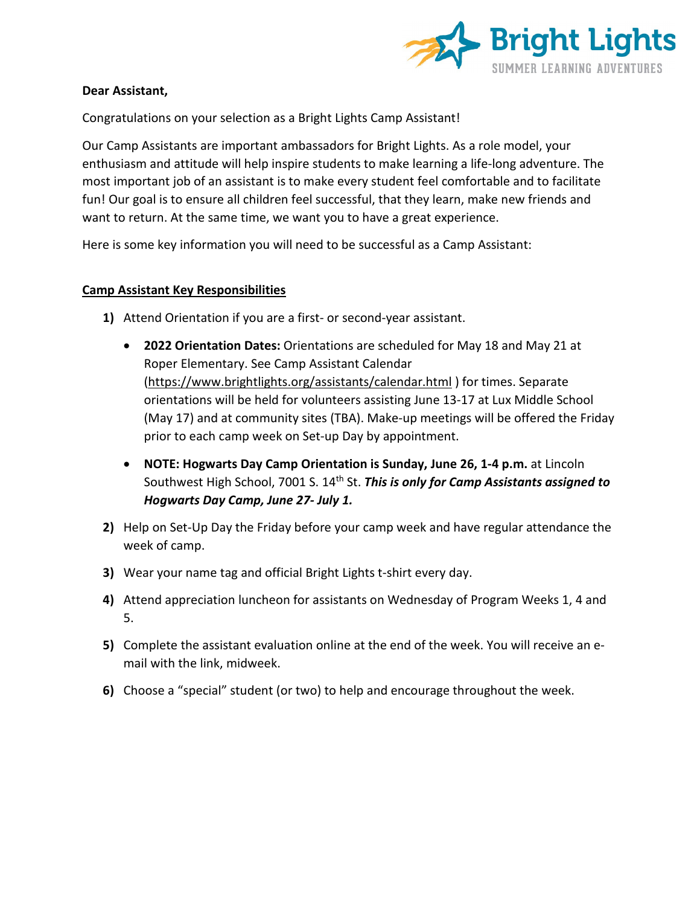

#### **Dear Assistant,**

Congratulations on your selection as a Bright Lights Camp Assistant!

Our Camp Assistants are important ambassadors for Bright Lights. As a role model, your enthusiasm and attitude will help inspire students to make learning a life-long adventure. The most important job of an assistant is to make every student feel comfortable and to facilitate fun! Our goal is to ensure all children feel successful, that they learn, make new friends and want to return. At the same time, we want you to have a great experience.

Here is some key information you will need to be successful as a Camp Assistant:

### **Camp Assistant Key Responsibilities**

- **1)** Attend Orientation if you are a first- or second-year assistant.
	- **2022 Orientation Dates:** Orientations are scheduled for May 18 and May 21 at Roper Elementary. See Camp Assistant Calendar [\(https://www.brightlights.org/assistants/calendar.html](https://www.brightlights.org/assistants/calendar.html) ) for times. Separate orientations will be held for volunteers assisting June 13-17 at Lux Middle School (May 17) and at community sites (TBA). Make-up meetings will be offered the Friday prior to each camp week on Set-up Day by appointment.
	- **NOTE: Hogwarts Day Camp Orientation is Sunday, June 26, 1-4 p.m.** at Lincoln Southwest High School, 7001 S. 14th St. *This is only for Camp Assistants assigned to Hogwarts Day Camp, June 27- July 1.*
- **2)** Help on Set-Up Day the Friday before your camp week and have regular attendance the week of camp.
- **3)** Wear your name tag and official Bright Lights t-shirt every day.
- **4)** Attend appreciation luncheon for assistants on Wednesday of Program Weeks 1, 4 and 5.
- **5)** Complete the assistant evaluation online at the end of the week. You will receive an email with the link, midweek.
- **6)** Choose a "special" student (or two) to help and encourage throughout the week.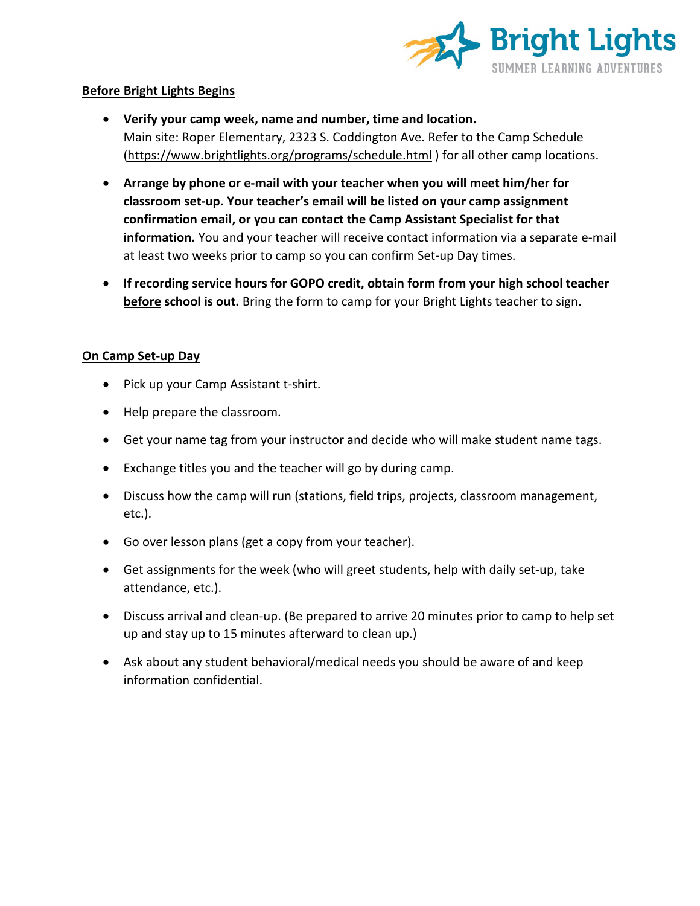

### **Before Bright Lights Begins**

- **Verify your camp week, name and number, time and location.** Main site: Roper Elementary, 2323 S. Coddington Ave. Refer to the Camp Schedule [\(https://www.brightlights.org/programs/schedule.html](https://www.brightlights.org/programs/schedule.html) ) for all other camp locations.
- **Arrange by phone or e-mail with your teacher when you will meet him/her for classroom set-up. Your teacher's email will be listed on your camp assignment confirmation email, or you can contact the Camp Assistant Specialist for that information.** You and your teacher will receive contact information via a separate e-mail at least two weeks prior to camp so you can confirm Set-up Day times.
- **If recording service hours for GOPO credit, obtain form from your high school teacher before school is out.** Bring the form to camp for your Bright Lights teacher to sign.

# **On Camp Set-up Day**

- Pick up your Camp Assistant t-shirt.
- Help prepare the classroom.
- Get your name tag from your instructor and decide who will make student name tags.
- Exchange titles you and the teacher will go by during camp.
- Discuss how the camp will run (stations, field trips, projects, classroom management, etc.).
- Go over lesson plans (get a copy from your teacher).
- Get assignments for the week (who will greet students, help with daily set-up, take attendance, etc.).
- Discuss arrival and clean-up. (Be prepared to arrive 20 minutes prior to camp to help set up and stay up to 15 minutes afterward to clean up.)
- Ask about any student behavioral/medical needs you should be aware of and keep information confidential.